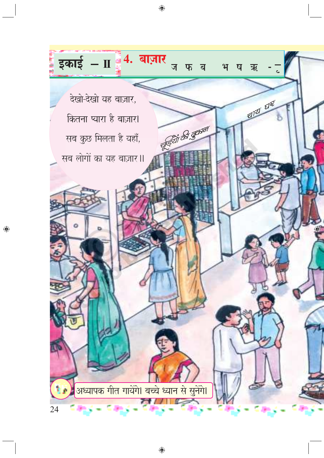

◈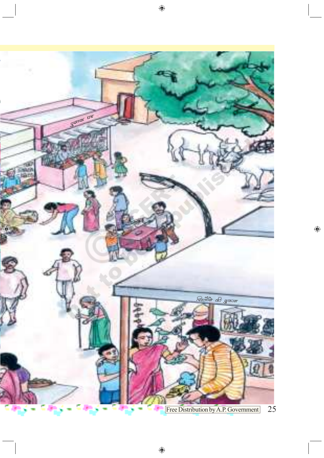

 $\bigoplus$ 

 $\bigoplus$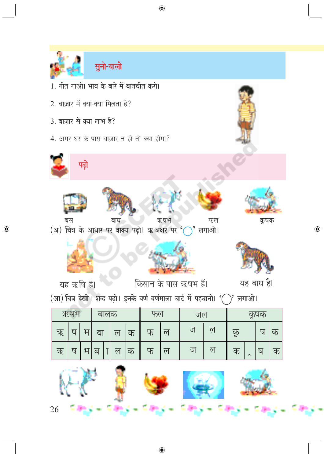

 $\bigoplus$ 

 $\bigoplus$ 

26

◈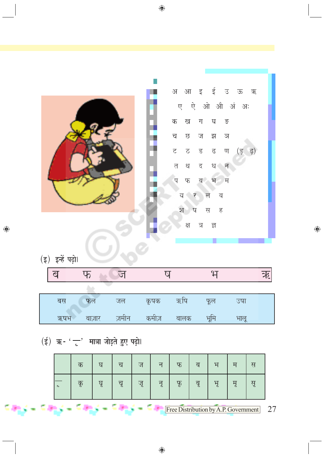

 $\bigoplus$ 

| बस  | फल     | जल    | कृषक  | ऋषि  | फूल  | उषा  |  |
|-----|--------|-------|-------|------|------|------|--|
| ऋषभ | बाज़ार | ज़मीन | कमोज़ | बालक | भूमि | भालू |  |

$$
(\xi)
$$
 स्र- ' $\frac{1}{6}$ ' मात्रा जोड़्ते हुए पढ़ो।

 $\bigoplus$ 

| $\mathbb{F}$<br>फु<br>बृ<br>कृ<br>चृ<br>जृ<br>मृ<br>नु<br>घृ<br>सृ<br>$\epsilon$ | क | घ | च | ज | न | फ | ब | भ | म | स |
|----------------------------------------------------------------------------------|---|---|---|---|---|---|---|---|---|---|
|                                                                                  |   |   |   |   |   |   |   |   |   |   |

Free Distribution by A.P. Government 27  $\bigoplus$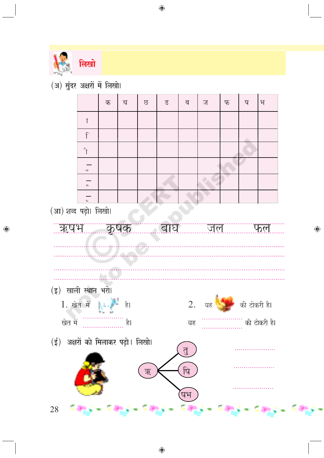

◈

(अ) सुंदर अक्षरों में लिखो।



 $\bigcirc$